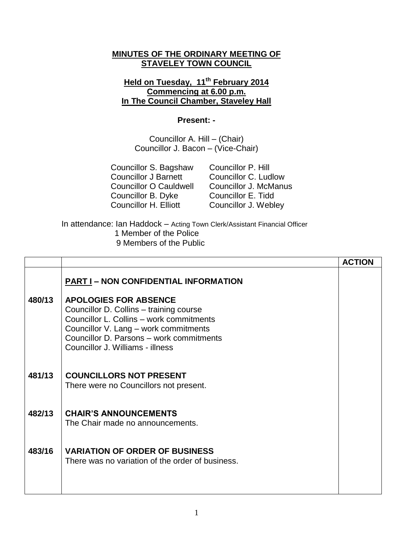## **MINUTES OF THE ORDINARY MEETING OF STAVELEY TOWN COUNCIL**

## **Held on Tuesday, 11th February 2014 Commencing at 6.00 p.m. In The Council Chamber, Staveley Hall**

## **Present: -**

Councillor A. Hill – (Chair) Councillor J. Bacon – (Vice-Chair)

| Councillor S. Bagshaw         |
|-------------------------------|
| <b>Councillor J Barnett</b>   |
| <b>Councillor O Cauldwell</b> |
| Councillor B. Dyke            |
| Councillor H. Elliott         |
|                               |

Councillor P. Hill Councillor C. Ludlow Councillor J. McManus Councillor E. Tidd Councillor J. Webley

In attendance: Ian Haddock – Acting Town Clerk/Assistant Financial Officer 1 Member of the Police 9 Members of the Public

|        |                                                                                                                                                                                                                                              | <b>ACTION</b> |
|--------|----------------------------------------------------------------------------------------------------------------------------------------------------------------------------------------------------------------------------------------------|---------------|
|        | <b>PART I - NON CONFIDENTIAL INFORMATION</b>                                                                                                                                                                                                 |               |
| 480/13 | <b>APOLOGIES FOR ABSENCE</b><br>Councillor D. Collins - training course<br>Councillor L. Collins - work commitments<br>Councillor V. Lang - work commitments<br>Councillor D. Parsons - work commitments<br>Councillor J. Williams - illness |               |
| 481/13 | <b>COUNCILLORS NOT PRESENT</b><br>There were no Councillors not present.                                                                                                                                                                     |               |
| 482/13 | <b>CHAIR'S ANNOUNCEMENTS</b><br>The Chair made no announcements.                                                                                                                                                                             |               |
| 483/16 | <b>VARIATION OF ORDER OF BUSINESS</b><br>There was no variation of the order of business.                                                                                                                                                    |               |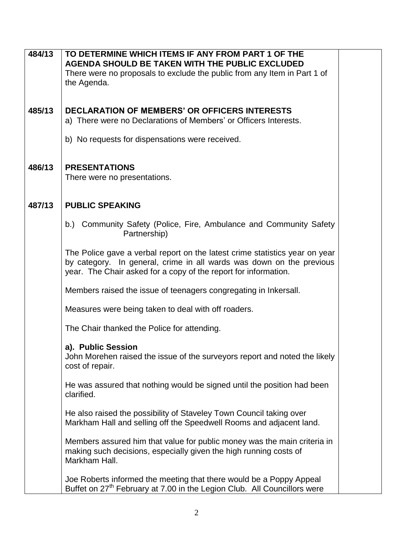| 484/13 | TO DETERMINE WHICH ITEMS IF ANY FROM PART 1 OF THE                                               |  |
|--------|--------------------------------------------------------------------------------------------------|--|
|        | AGENDA SHOULD BE TAKEN WITH THE PUBLIC EXCLUDED                                                  |  |
|        | There were no proposals to exclude the public from any Item in Part 1 of                         |  |
|        | the Agenda.                                                                                      |  |
|        |                                                                                                  |  |
|        |                                                                                                  |  |
| 485/13 | <b>DECLARATION OF MEMBERS' OR OFFICERS INTERESTS</b>                                             |  |
|        | a) There were no Declarations of Members' or Officers Interests.                                 |  |
|        |                                                                                                  |  |
|        | b) No requests for dispensations were received.                                                  |  |
|        |                                                                                                  |  |
|        |                                                                                                  |  |
| 486/13 | <b>PRESENTATIONS</b>                                                                             |  |
|        | There were no presentations.                                                                     |  |
|        |                                                                                                  |  |
|        |                                                                                                  |  |
| 487/13 | <b>PUBLIC SPEAKING</b>                                                                           |  |
|        |                                                                                                  |  |
|        | b.) Community Safety (Police, Fire, Ambulance and Community Safety                               |  |
|        | Partnership)                                                                                     |  |
|        | The Police gave a verbal report on the latest crime statistics year on year                      |  |
|        | by category. In general, crime in all wards was down on the previous                             |  |
|        | year. The Chair asked for a copy of the report for information.                                  |  |
|        |                                                                                                  |  |
|        | Members raised the issue of teenagers congregating in Inkersall.                                 |  |
|        |                                                                                                  |  |
|        | Measures were being taken to deal with off roaders.                                              |  |
|        |                                                                                                  |  |
|        | The Chair thanked the Police for attending.                                                      |  |
|        |                                                                                                  |  |
|        | a). Public Session<br>John Morehen raised the issue of the surveyors report and noted the likely |  |
|        | cost of repair.                                                                                  |  |
|        |                                                                                                  |  |
|        | He was assured that nothing would be signed until the position had been                          |  |
|        | clarified.                                                                                       |  |
|        |                                                                                                  |  |
|        | He also raised the possibility of Staveley Town Council taking over                              |  |
|        | Markham Hall and selling off the Speedwell Rooms and adjacent land.                              |  |
|        |                                                                                                  |  |
|        | Members assured him that value for public money was the main criteria in                         |  |
|        | making such decisions, especially given the high running costs of                                |  |
|        | Markham Hall.                                                                                    |  |
|        |                                                                                                  |  |
|        | Joe Roberts informed the meeting that there would be a Poppy Appeal                              |  |
|        | Buffet on 27 <sup>th</sup> February at 7.00 in the Legion Club. All Councillors were             |  |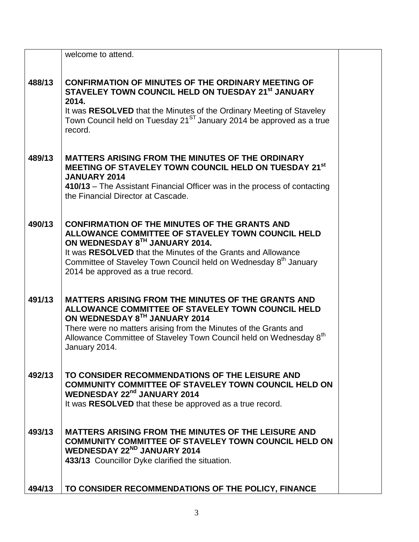|        | welcome to attend.                                                                                                                                                                                                                                                                                                                |  |
|--------|-----------------------------------------------------------------------------------------------------------------------------------------------------------------------------------------------------------------------------------------------------------------------------------------------------------------------------------|--|
| 488/13 | <b>CONFIRMATION OF MINUTES OF THE ORDINARY MEETING OF</b><br>STAVELEY TOWN COUNCIL HELD ON TUESDAY 21 <sup>st</sup> JANUARY<br>2014.<br>It was RESOLVED that the Minutes of the Ordinary Meeting of Staveley<br>Town Council held on Tuesday 21 <sup>ST</sup> January 2014 be approved as a true<br>record.                       |  |
| 489/13 | <b>MATTERS ARISING FROM THE MINUTES OF THE ORDINARY</b><br>MEETING OF STAVELEY TOWN COUNCIL HELD ON TUESDAY 21st<br><b>JANUARY 2014</b><br>410/13 – The Assistant Financial Officer was in the process of contacting<br>the Financial Director at Cascade.                                                                        |  |
| 490/13 | <b>CONFIRMATION OF THE MINUTES OF THE GRANTS AND</b><br>ALLOWANCE COMMITTEE OF STAVELEY TOWN COUNCIL HELD<br>ON WEDNESDAY 8TH JANUARY 2014.<br>It was RESOLVED that the Minutes of the Grants and Allowance<br>Committee of Staveley Town Council held on Wednesday 8 <sup>th</sup> January<br>2014 be approved as a true record. |  |
| 491/13 | <b>MATTERS ARISING FROM THE MINUTES OF THE GRANTS AND</b><br>ALLOWANCE COMMITTEE OF STAVELEY TOWN COUNCIL HELD<br>ON WEDNESDAY 8TH JANUARY 2014<br>There were no matters arising from the Minutes of the Grants and<br>Allowance Committee of Staveley Town Council held on Wednesday 8 <sup>th</sup><br>January 2014.            |  |
| 492/13 | TO CONSIDER RECOMMENDATIONS OF THE LEISURE AND<br><b>COMMUNITY COMMITTEE OF STAVELEY TOWN COUNCIL HELD ON</b><br><b>WEDNESDAY 22nd JANUARY 2014</b><br>It was RESOLVED that these be approved as a true record.                                                                                                                   |  |
| 493/13 | <b>MATTERS ARISING FROM THE MINUTES OF THE LEISURE AND</b><br><b>COMMUNITY COMMITTEE OF STAVELEY TOWN COUNCIL HELD ON</b><br><b>WEDNESDAY 22<sup>ND</sup> JANUARY 2014</b><br>433/13 Councillor Dyke clarified the situation.                                                                                                     |  |
| 494/13 | TO CONSIDER RECOMMENDATIONS OF THE POLICY, FINANCE                                                                                                                                                                                                                                                                                |  |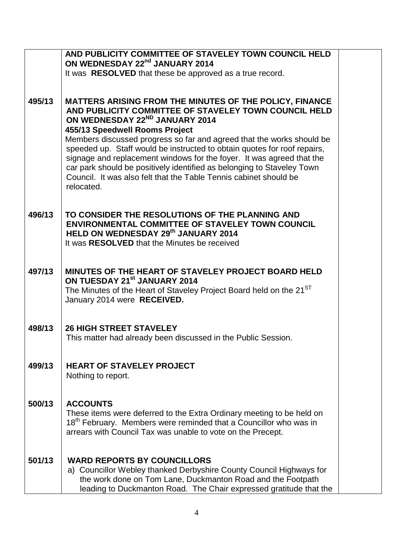|        | AND PUBLICITY COMMITTEE OF STAVELEY TOWN COUNCIL HELD                                                                                                                                                                                                                                                                                                                                                                                                                                                                                                                           |  |
|--------|---------------------------------------------------------------------------------------------------------------------------------------------------------------------------------------------------------------------------------------------------------------------------------------------------------------------------------------------------------------------------------------------------------------------------------------------------------------------------------------------------------------------------------------------------------------------------------|--|
|        | ON WEDNESDAY 22nd JANUARY 2014<br>It was RESOLVED that these be approved as a true record.                                                                                                                                                                                                                                                                                                                                                                                                                                                                                      |  |
|        |                                                                                                                                                                                                                                                                                                                                                                                                                                                                                                                                                                                 |  |
| 495/13 | MATTERS ARISING FROM THE MINUTES OF THE POLICY, FINANCE<br>AND PUBLICITY COMMITTEE OF STAVELEY TOWN COUNCIL HELD<br>ON WEDNESDAY 22ND JANUARY 2014<br>455/13 Speedwell Rooms Project<br>Members discussed progress so far and agreed that the works should be<br>speeded up. Staff would be instructed to obtain quotes for roof repairs,<br>signage and replacement windows for the foyer. It was agreed that the<br>car park should be positively identified as belonging to Staveley Town<br>Council. It was also felt that the Table Tennis cabinet should be<br>relocated. |  |
| 496/13 | TO CONSIDER THE RESOLUTIONS OF THE PLANNING AND<br><b>ENVIRONMENTAL COMMITTEE OF STAVELEY TOWN COUNCIL</b><br>HELD ON WEDNESDAY 29th JANUARY 2014<br>It was RESOLVED that the Minutes be received                                                                                                                                                                                                                                                                                                                                                                               |  |
| 497/13 | <b>MINUTES OF THE HEART OF STAVELEY PROJECT BOARD HELD</b><br>ON TUESDAY 21 <sup>st</sup> JANUARY 2014<br>The Minutes of the Heart of Staveley Project Board held on the 21 <sup>ST</sup><br>January 2014 were RECEIVED.                                                                                                                                                                                                                                                                                                                                                        |  |
| 498/13 | <b>26 HIGH STREET STAVELEY</b><br>This matter had already been discussed in the Public Session.                                                                                                                                                                                                                                                                                                                                                                                                                                                                                 |  |
| 499/13 | <b>HEART OF STAVELEY PROJECT</b><br>Nothing to report.                                                                                                                                                                                                                                                                                                                                                                                                                                                                                                                          |  |
| 500/13 | <b>ACCOUNTS</b><br>These items were deferred to the Extra Ordinary meeting to be held on<br>18 <sup>th</sup> February. Members were reminded that a Councillor who was in<br>arrears with Council Tax was unable to vote on the Precept.                                                                                                                                                                                                                                                                                                                                        |  |
| 501/13 | <b>WARD REPORTS BY COUNCILLORS</b><br>a) Councillor Webley thanked Derbyshire County Council Highways for<br>the work done on Tom Lane, Duckmanton Road and the Footpath<br>leading to Duckmanton Road. The Chair expressed gratitude that the                                                                                                                                                                                                                                                                                                                                  |  |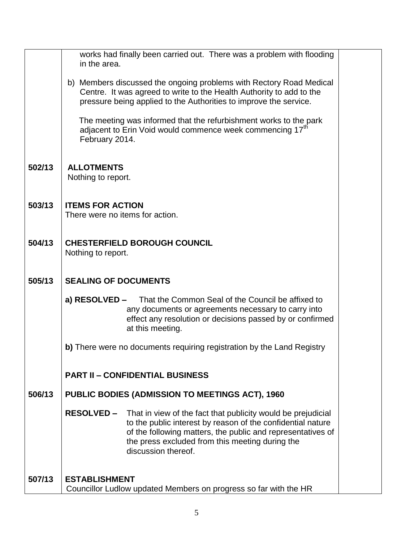|        | works had finally been carried out. There was a problem with flooding<br>in the area.                                                                                                                                                                                                     |  |
|--------|-------------------------------------------------------------------------------------------------------------------------------------------------------------------------------------------------------------------------------------------------------------------------------------------|--|
|        | b) Members discussed the ongoing problems with Rectory Road Medical<br>Centre. It was agreed to write to the Health Authority to add to the<br>pressure being applied to the Authorities to improve the service.                                                                          |  |
|        | The meeting was informed that the refurbishment works to the park<br>adjacent to Erin Void would commence week commencing 17 <sup>th</sup><br>February 2014.                                                                                                                              |  |
| 502/13 | <b>ALLOTMENTS</b><br>Nothing to report.                                                                                                                                                                                                                                                   |  |
| 503/13 | <b>ITEMS FOR ACTION</b><br>There were no items for action.                                                                                                                                                                                                                                |  |
| 504/13 | <b>CHESTERFIELD BOROUGH COUNCIL</b><br>Nothing to report.                                                                                                                                                                                                                                 |  |
| 505/13 | <b>SEALING OF DOCUMENTS</b>                                                                                                                                                                                                                                                               |  |
|        | a) RESOLVED –<br>That the Common Seal of the Council be affixed to<br>any documents or agreements necessary to carry into<br>effect any resolution or decisions passed by or confirmed<br>at this meeting.                                                                                |  |
|        | b) There were no documents requiring registration by the Land Registry                                                                                                                                                                                                                    |  |
|        | <b>PART II - CONFIDENTIAL BUSINESS</b>                                                                                                                                                                                                                                                    |  |
| 506/13 | <b>PUBLIC BODIES (ADMISSION TO MEETINGS ACT), 1960</b>                                                                                                                                                                                                                                    |  |
|        | <b>RESOLVED -</b><br>That in view of the fact that publicity would be prejudicial<br>to the public interest by reason of the confidential nature<br>of the following matters, the public and representatives of<br>the press excluded from this meeting during the<br>discussion thereof. |  |
| 507/13 | <b>ESTABLISHMENT</b><br>Councillor Ludlow updated Members on progress so far with the HR                                                                                                                                                                                                  |  |
|        |                                                                                                                                                                                                                                                                                           |  |